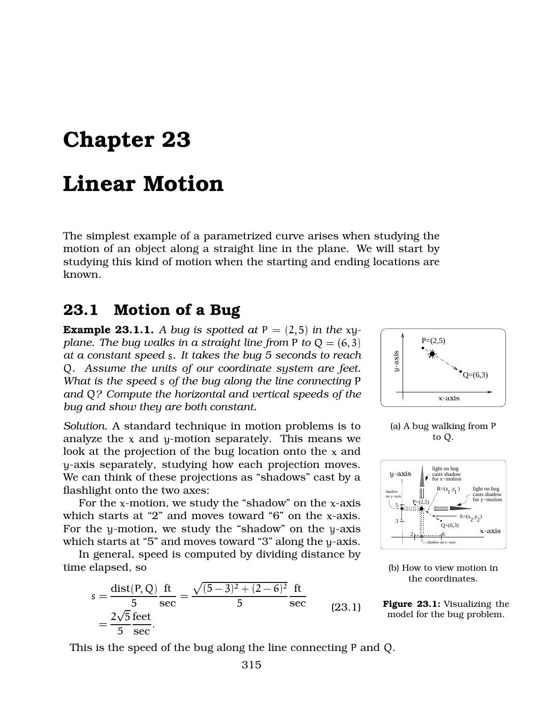## Chapter 23

## Linear Motion

The simplest example of a parametrized curve arises when studying the motion of an object along a straight line in the plane. We will start by studying this kind of motion when the starting and ending locations are known.

## 23.1 Motion of a Bug

PSfrag replacements *plane. The bug walks in a straight line from to* and Q? Compute the horizontal and vertical speeds of the <sup>-axis</sup> **Example 23.1.1.** A bug is spotted at  $P = (2,5)$  in the xy*at a constant speed . It takes the bug 5 seconds to reach . Assume the units of our coordinate system are feet. What is the speed s of the bug along the line connecting* P *bug and show they are both constant.*

PSfrag replacements *Solution.* A standard technique in motion problems is to analyze the  $x$  and  $y$ -motion separately. This means we look at the projection of the bug location onto the  $x$  and -axis separately, studying how each projection moves. We can think of these projections as "shadows" cast by a flashlight onto the two axes:

For the y-motion, we study the "shadow" on the y-axis  $_{\rm axis}$ For the  $x$ -motion, we study the "shadow" on the  $x$ -axis which starts at "2" and moves toward "6" on the  $x$ -axis. which starts at "5" and moves toward "3" along the y-axis.

In general, speed is computed by dividing distance by time elapsed, so

$$
s = \frac{\text{dist}(P, Q)}{5} \frac{\text{ft}}{\text{sec}} = \frac{\sqrt{(5-3)^2 + (2-6)^2}}{5} \frac{\text{ft}}{\text{sec}}
$$
  
=  $\frac{2\sqrt{5}}{5} \frac{\text{feet}}{\text{sec}}$ . (23.1)







(b) How to view motion in the coordinates.

Figure 23.1: Visualizing the model for the bug problem.

This is the speed of the bug along the line connecting  $P$  and  $Q$ .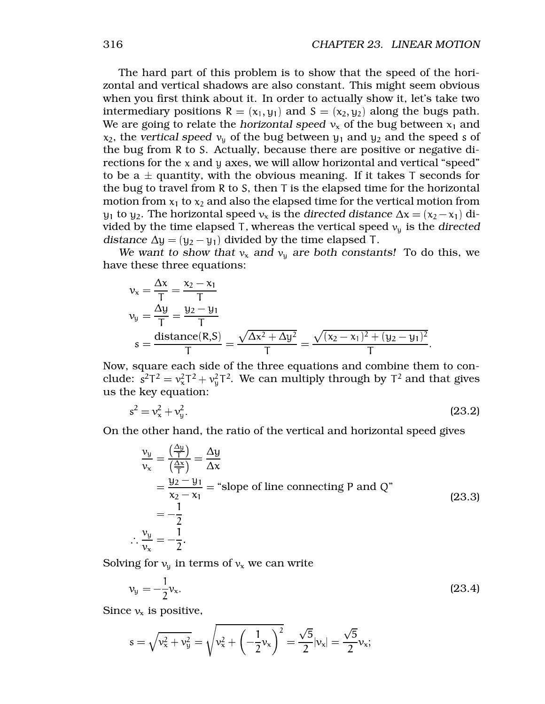The hard part of this problem is to show that the speed of the horizontal and vertical shadows are also constant. This might seem obvious when you first think about it. In order to actually show it, let's take two intermediary positions  $R = (x_1, y_1)$  and  $S = (x_2, y_2)$  along the bugs path. We are going to relate the *horizontal speed*  $v_x$  of the bug between  $x_1$  and  $\mathsf{x}_2$ , the *vertical speed*  $\mathsf{v}_\mathsf{y}$  of the bug between  $\mathsf{y}_1$  and  $\mathsf{y}_2$  and the speed  $\mathsf{s}$  of the bug from R to S. Actually, because there are positive or negative directions for the  $x$  and  $y$  axes, we will allow horizontal and vertical "speed" to be a  $\pm$  quantity, with the obvious meaning. If it takes T seconds for the bug to travel from R to S, then  $\bar{\tau}$  is the elapsed time for the horizontal motion from  $x_1$  to  $x_2$  and also the elapsed time for the vertical motion from  $y_1$  to  $y_2$ . The horizontal speed  $v_x$  is the *directed distance*  $\Delta x = (x_2 - x_1)$  divided by the time elapsed  $\mathsf T$ , whereas the vertical speed  $\mathsf v_\mathsf y$  is the directed distance  $\Delta y = (y_2 - y_1)$  divided by the time elapsed T.

We want to show that  $v_x$  and  $v_y$  are both constants! To do this, we have these three equations:

$$
v_x = \frac{\Delta x}{T} = \frac{x_2 - x_1}{T}
$$
  
\n
$$
v_y = \frac{\Delta y}{T} = \frac{y_2 - y_1}{T}
$$
  
\n
$$
s = \frac{\text{distance}(R, S)}{T} = \frac{\sqrt{\Delta x^2 + \Delta y^2}}{T} = \frac{\sqrt{(x_2 - x_1)^2 + (y_2 - y_1)^2}}{T}.
$$

Now, square each side of the three equations and combine them to conclude:  $s^2T^2 = v_x^2T^2 + v_y^2T^2$ . We can multiply through by  $T^2$  and that gives us the key equation:

$$
s^2 = v_x^2 + v_y^2. \tag{23.2}
$$

On the other hand, the ratio of the vertical and horizontal speed gives

$$
\frac{v_y}{v_x} = \frac{\left(\frac{\Delta y}{T}\right)}{\left(\frac{\Delta x}{T}\right)} = \frac{\Delta y}{\Delta x}
$$
  
=  $\frac{y_2 - y_1}{x_2 - x_1}$  = "slope of line connecting P and Q"  
=  $-\frac{1}{2}$   

$$
\therefore \frac{v_y}{v_x} = -\frac{1}{2}.
$$
 (23.3)

Solving for  $v_y$  in terms of  $v_x$  we can write

$$
v_y = -\frac{1}{2}v_x.
$$
 (23.4)

Since  $v_x$  is positive,

$$
s = \sqrt{v_x^2 + v_y^2} = \sqrt{v_x^2 + \left(-\frac{1}{2}v_x\right)^2} = \frac{\sqrt{5}}{2}|v_x| = \frac{\sqrt{5}}{2}v_x;
$$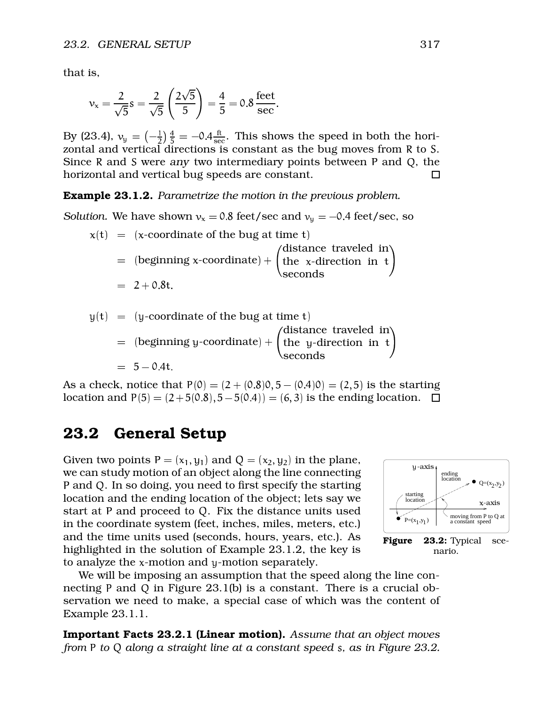that is,

$$
v_x = \frac{2}{\sqrt{5}} s = \frac{2}{\sqrt{5}} \left( \frac{2\sqrt{5}}{5} \right) = \frac{4}{5} = 0.8 \frac{\text{feet}}{\text{sec}}.
$$

By (23.4),  $v_y = \left(-\frac{1}{2}\right)\frac{4}{5} = -0.4\frac{ft}{sec}$ . Thi  $\frac{ft}{\sec}$ . This shows the speed in both the horizontal and vertical directions is constant as the bug moves from R to S. Since  $R$  and  $S$  were any two intermediary points between  $P$  and  $Q$ , the horizontal and vertical bug speeds are constant.  $\Box$ 

Example 23.1.2. *Parametrize the motion in the previous problem.*

*Solution.* We have shown  $v_x = 0.8$  feet/sec and  $v_y = -0.4$  feet/sec, so

- $x(t) = (x$ -coordinate of the bug at time t)  $\; = \;$  (beginning x-coordinate)  $+$   $\vert$  the  $\;$ x-dire  $\sim$   $\sim$   $\sim$   $\sim$   $\sim$   $\sim$ distance traveled in the x-direction in  $t$ seconds -  $\blacksquare$ \_\_\_\_\_\_\_\_\_ (
- $y(t) = (y$ -coordinate of the bug at time t)  $\; = \;$  (beginning y-coordinate)  $+$   $\vert$  the  $\;$ y-dire distance traveled in the y-direction in  $t$   $\vert$

$$
= 5 - 0.4t.
$$

As a check, notice that  $P(0) = (2 + (0.8)0, 5 - (0.4)0) = (2, 5)$  is the starting location and  $P(5) = (2 + 5(0.8), 5 - 5(0.4)) = (6, 3)$  is the ending location.

 $\sim$   $\sim$   $\sim$   $\sim$   $\sim$   $\sim$ 

seconds -  $\overline{\phantom{a}}$ 

## 23.2 General Setup

we can study motion of an object along the **Biegorepeating**ents  $\frac{1}{2}$  and  $\frac{1}{2}$  ending Given two points  $P = (x_1, y_1)$  and  $Q = (x_2, y_2)$  in the plane, P and Q. In so doing, you need to first specify the starting location and the ending location of the object; lets say we start at  $P$  and proceed to  $Q$ . Fix the distance units used in the coordinate system (feet, inches, miles, meters, etc.) and the time units used (seconds, hours, years, etc.). As highlighted in the solution of Example 23.1.2, the key is to analyze the  $x$ -motion and  $y$ -motion separately.



We will be imposing an assumption that the speed along the line connecting P and Q in Figure 23.1(b) is a constant. There is a crucial observation we need to make, a special case of which was the content of Example 23.1.1.

Important Facts 23.2.1 (Linear motion). *Assume that an object moves from to along a straight line at a constant speed , as in Figure 23.2.*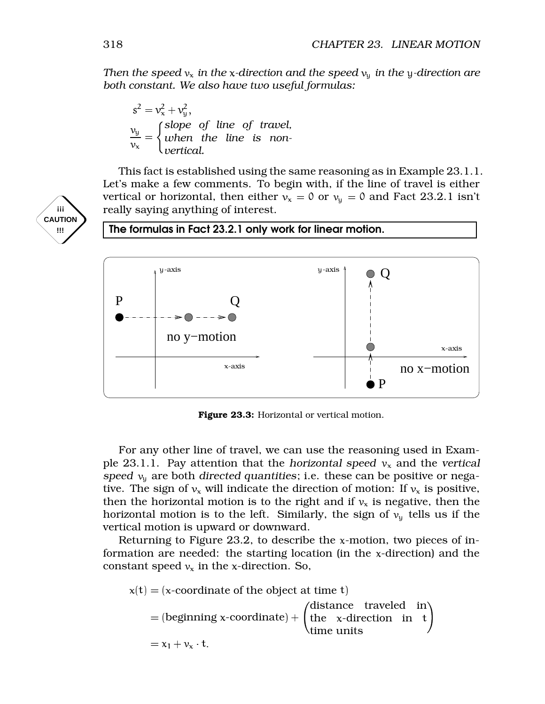*Then the speed*  $v_x$  *in the x*-direction and *the speed*  $v_y$  *in the y*-direction are *both constant. We also have two useful formulas:*

$$
s^{2} = v_{x}^{2} + v_{y}^{2},
$$
  

$$
\frac{v_{y}}{v_{x}} = \begin{cases} slope & of \ line \ of \ travel, \\ when \ the \ line \ is \ non-vertical. \end{cases}
$$

This fact is established using the same reasoning as in Example 23.1.1. Let's make a few comments. To begin with, if the line of travel is either vertical or horizontal, then either  $v_x = 0$  or  $v_y = 0$  and Fact 23.2.1 isn't really saying anything of interest.



Figure 23.3: Horizontal or vertical motion.

For any other line of travel, we can use the reasoning used in Example 23.1.1. Pay attention that the horizontal speed  $v_x$  and the vertical speed  $v_y$  are both directed quantities; i.e. these can be positive or negative. The sign of  $v_x$  will indicate the direction of motion: If  $v_x$  is positive, then the horizontal motion is to the right and if  $v_x$  is negative, then the horizontal motion is to the left. Similarly, the sign of  $v<sub>u</sub>$  tells us if the vertical motion is upward or downward.

Returning to Figure 23.2, to describe the  $x$ -motion, two pieces of information are needed: the starting location (in the  $x$ -direction) and the constant speed  $v_x$  in the x-direction. So,

 $x(t) = (x$ -coordinate of the object at time t)  $=$  (beginning x-coordinate) +  $\int$  the x-dire . . . . . . . . . . . . . . . distance traveled in the x-direction in  $t$ time units  $\mathcal{N}$   $\mathcal{N}$   $\mathcal{N}$   $\mathcal{N}$   $\mathcal{N}$   $\mathcal{N}$   $\mathcal{N}$   $\mathcal{N}$   $\mathcal{N}$   $\mathcal{N}$   $\mathcal{N}$   $\mathcal{N}$   $\mathcal{N}$   $\mathcal{N}$   $\mathcal{N}$   $\mathcal{N}$   $\mathcal{N}$   $\mathcal{N}$   $\mathcal{N}$   $\mathcal{N}$   $\mathcal{N}$   $\mathcal{N}$   $\mathcal{N}$   $\mathcal{N}$ 

**!!!**

ements

-axis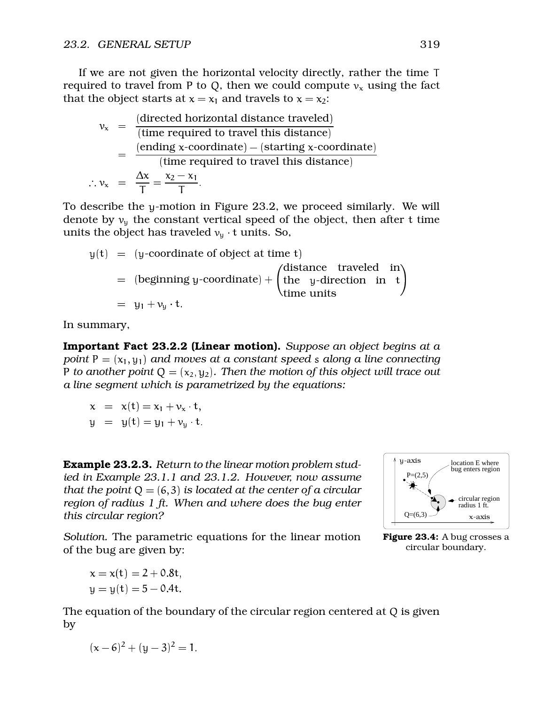If we are not given the horizontal velocity directly, rather the time required to travel from P to Q, then we could compute  $v_x$  using the fact that the object starts at  $x = x_1$  and travels to  $x = x_2$ :

$$
v_x = \frac{\text{(directed horizontal distance traveled)}}{\text{(time required to travel this distance)}}
$$
  
= 
$$
\frac{\text{(ending x-coordinate)} - \text{(starting x-coordinate)}}{\text{(time required to travel this distance)}}
$$
  

$$
\therefore v_x = \frac{\Delta x}{T} = \frac{x_2 - x_1}{T}.
$$

 .

To describe the y-motion in Figure 23.2, we proceed similarly. We will denote by  $v_u$  the constant vertical speed of the object, then after t time units the object has traveled  $v_y$  t units. So,

$$
y(t) = (y-coordinate of object at time t)
$$
  
= (beginning y-coordinate) + (distance traveled in  
time units  
= y<sub>1</sub> + v<sub>u</sub> · t.

In summary,

Important Fact 23.2.2 (Linear motion). *Suppose an object begins at a point*  $P = (x_1, y_1)$  *and moves at a constant speed s along a line connecting P* to another point  $Q = (x_2, y_2)$ . Then the motion of this object will trace out *a line segment which is parametrized by the equations:*

 $\lambda = \lambda_1 \cup \lambda_2 = \lambda_1 + \nu_2 \cup \nu_3$  $\mathbf{u} = \mathbf{u} \cdot \mathbf{v} - \mathbf{u} \cdot \mathbf{v} \cdot \mathbf{v}$ 

**Example 23.2.3.** Return to the linear motion problem stud-<br>ied in Example 23.1.1 and 23.1.2. House<del>ler pair assume</del> -axis *ied in Example 23.1.1 and 23.1.2. However, now assume that the point*  $Q = (6, 3)$  *is located at the center of a circular region of radius 1 ft. When and where does the bug enter this circular region?*



*Solution.* The parametric equations for the linear motion of the bug are given by:

$$
x = x(t) = 2 + 0.8t,
$$
  

$$
y = y(t) = 5 - 0.4t.
$$

The equation of the boundary of the circular region centered at  $Q$  is given by



Figure 23.4: A bug crosses a circular boundary.

$$
(x-6)^2 + (y-3)^2 = 1.
$$